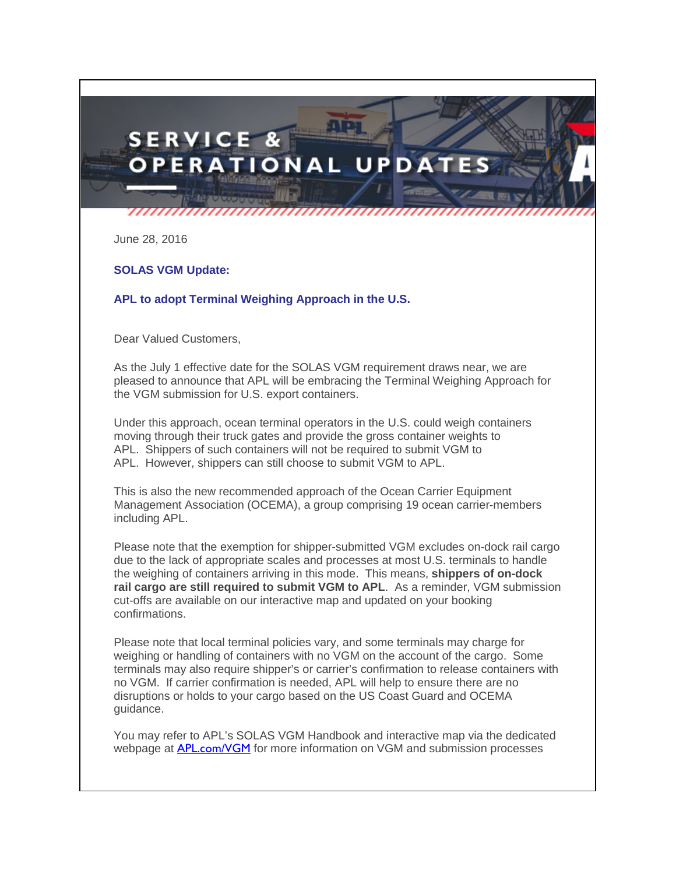## **SERVICE & OPERATIONAL UPDAT**

June 28, 2016

## **SOLAS VGM Update:**

## **APL to adopt Terminal Weighing Approach in the U.S.**

Dear Valued Customers,

As the July 1 effective date for the SOLAS VGM requirement draws near, we are pleased to announce that APL will be embracing the Terminal Weighing Approach for the VGM submission for U.S. export containers.

Under this approach, ocean terminal operators in the U.S. could weigh containers moving through their truck gates and provide the gross container weights to APL. Shippers of such containers will not be required to submit VGM to APL. However, shippers can still choose to submit VGM to APL.

This is also the new recommended approach of the Ocean Carrier Equipment Management Association (OCEMA), a group comprising 19 ocean carrier-members including APL.

Please note that the exemption for shipper-submitted VGM excludes on-dock rail cargo due to the lack of appropriate scales and processes at most U.S. terminals to handle the weighing of containers arriving in this mode. This means, **shippers of on-dock**  rail cargo are still required to submit VGM to APL. As a reminder, VGM submission cut-offs are available on our interactive map and updated on your booking confirmations.

Please note that local terminal policies vary, and some terminals may charge for weighing or handling of containers with no VGM on the account of the cargo. Some terminals may also require shipper's or carrier's confirmation to release containers with no VGM. If carrier confirmation is needed, APL will help to ensure there are no disruptions or holds to your cargo based on the US Coast Guard and OCEMA guidance.

You may refer to APL's SOLAS VGM Handbook and interactive map via the dedicated webpage at **[APL.com/VGM](http://www.apl.com/wps/portal/apl/global-security/solas?elqTrackId=e19dcdcd400a40ddb9a90aa55f1acd53&elq=013339f4fd3a4e6787660e58f080b6fb&elqaid=249&elqat=1&elqCampaignId=68)** for more information on VGM and submission processes